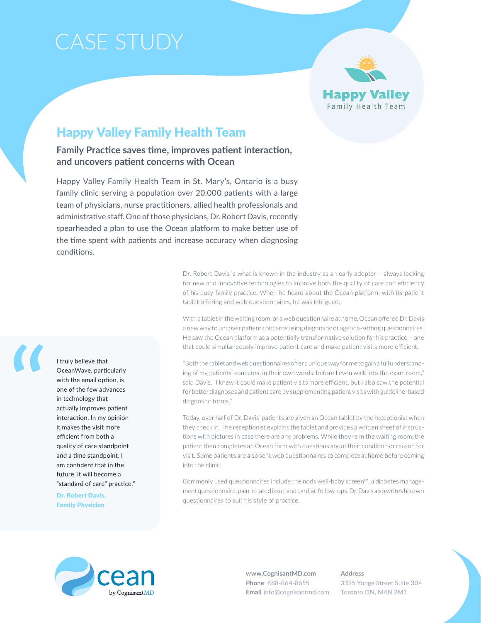# Case Study



## Happy Valley Family Health Team

**Family Practice saves time, improves patient interaction, and uncovers patient concerns with Ocean**

Happy Valley Family Health Team in St. Mary's, Ontario is a busy family clinic serving a population over 20,000 patients with a large team of physicians, nurse practitioners, allied health professionals and administrative staff. One of those physicians, Dr. Robert Davis, recently spearheaded a plan to use the Ocean platform to make better use of the time spent with patients and increase accuracy when diagnosing conditions.

> Dr. Robert Davis is what is known in the industry as an early adopter – always looking for new and innovative technologies to improve both the quality of care and efficiency of his busy family practice. When he heard about the Ocean platform, with its patient tablet offering and web questionnaires, he was intrigued.

> With a tablet in the waiting room, or a web questionnaire at home, Ocean offered Dr. Davis a new way to uncover patient concerns using diagnostic or agenda-setting questionnaires. He saw the Ocean platform as a potentially transformative solution for his practice – one that could simultaneously improve patient care and make patient visits more efficient.

> "Both the tablet and web questionnaires offer a unique way for me to gain a full understanding of my patients' concerns, in their own words, before I even walk into the exam room," said Davis. "I knew it could make patient visits more efficient, but I also saw the potential for better diagnoses and patient care by supplementing patient visits with guideline-based diagnostic forms."

> Today, over half of Dr. Davis' patients are given an Ocean tablet by the receptionist when they check in. The receptionist explains the tablet and provides a written sheet of instructions with pictures in case there are any problems. While they're in the waiting room, the patient then completes an Ocean form with questions about their condition or reason for visit. Some patients are also sent web questionnaires to complete at home before coming into the clinic.

> Commonly used questionnaires include the ndds well-baby screen™, a diabetes management questionnaire, pain-related issue and cardiac follow-ups. Dr. Davis also writes his own questionnaires to suit his style of practice.



**www.CognisantMD.com Phone** 888-864-8655 **Email** info@cognisantmd.com **Address** 3335 Yonge Street Suite 304 Toronto ON, M4N 2M1

I truly believe that OceanWave, particularly with the email option, is one of the few advances in technology that actually improves patient interaction. In my opinion it makes the visit more efficient from both a quality of care standpoint and a time standpoint. I am confident that in the future, it will become a "standard of care" practice."

Dr. Robert Davis, Family Physician